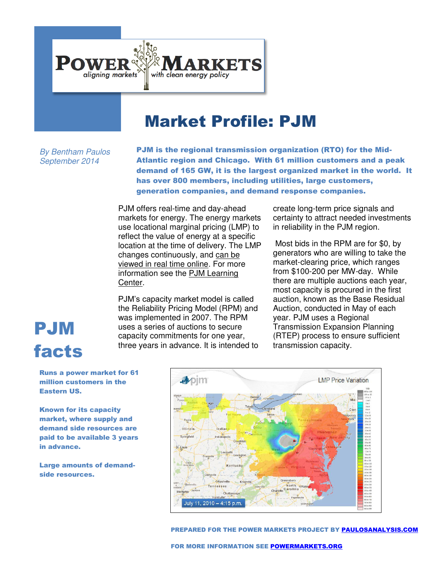

## Market Profile: PJM

*By Bentham Paulos September 2014* 

PJM is the regional transmission organization (RTO) for the Mid-Atlantic region and Chicago. With 61 million customers and a peak demand of 165 GW, it is the largest organized market in the world. It has over 800 members, including utilities, large customers, generation companies, and demand response companies.

PJM offers real-time and day-ahead markets for energy. The energy markets use locational marginal pricing (LMP) to reflect the value of energy at a specific location at the time of delivery. The LMP changes continuously, and [can be](https://edata.pjm.com/eContour/#app=ecca&e929-selectedIndex=0)  [viewed in real time online.](https://edata.pjm.com/eContour/#app=ecca&e929-selectedIndex=0) For more information see the [PJM Learning](http://www.pjm.com/about-pjm/learning-center.aspx)  [Center.](http://www.pjm.com/about-pjm/learning-center.aspx)

PJM's capacity market model is called the Reliability Pricing Model (RPM) and was implemented in 2007. The RPM uses a series of auctions to secure capacity commitments for one year, three years in advance. It is intended to create long-term price signals and certainty to attract needed investments in reliability in the PJM region.

 Most bids in the RPM are for \$0, by generators who are willing to take the market-clearing price, which ranges from \$100-200 per MW-day. While there are multiple auctions each year, most capacity is procured in the first auction, known as the Base Residual Auction, conducted in May of each year. PJM uses a Regional Transmission Expansion Planning (RTEP) process to ensure sufficient transmission capacity.

## PJM facts

Runs a power market for 61 million customers in the Eastern US.

Known for its capacity market, where supply and demand side resources are paid to be available 3 years in advance.

Large amounts of demandside resources.



PREPARED FOR THE POWER MARKETS PROJECT BY [PAULOSANALYSIS.COM](PaulosAnalysis.com)